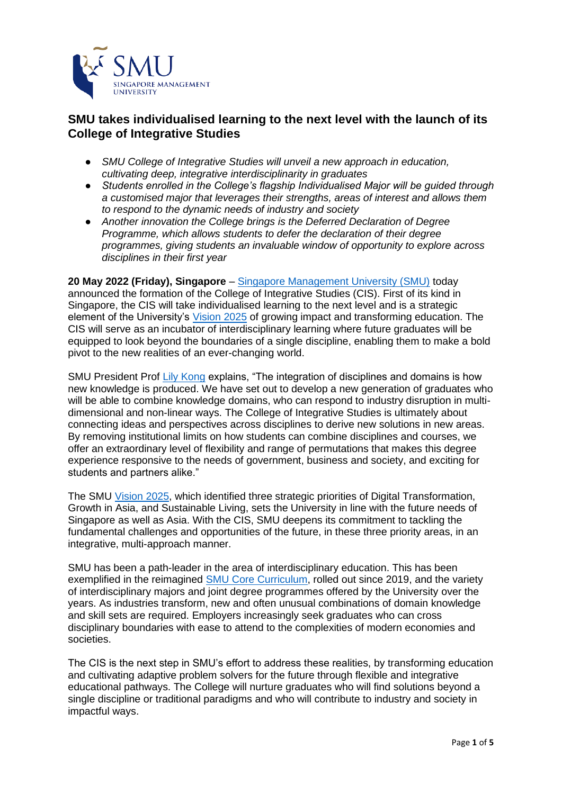

# **SMU takes individualised learning to the next level with the launch of its College of Integrative Studies**

- *SMU College of Integrative Studies will unveil a new approach in education, cultivating deep, integrative interdisciplinarity in graduates*
- *Students enrolled in the College's flagship Individualised Major will be guided through a customised major that leverages their strengths, areas of interest and allows them to respond to the dynamic needs of industry and society*
- *Another innovation the College brings is the Deferred Declaration of Degree Programme, which allows students to defer the declaration of their degree programmes, giving students an invaluable window of opportunity to explore across disciplines in their first year*

**20 May 2022 (Friday), Singapore** – [Singapore Management University \(SMU\)](https://www.smu.edu.sg/) today announced the formation of the College of Integrative Studies (CIS). First of its kind in Singapore, the CIS will take individualised learning to the next level and is a strategic element of the University's [Vision 2025](https://www.smu.edu.sg/about/vision-2025) of growing impact and transforming education. The CIS will serve as an incubator of interdisciplinary learning where future graduates will be equipped to look beyond the boundaries of a single discipline, enabling them to make a bold pivot to the new realities of an ever-changing world.

SMU President Prof [Lily Kong](https://faculty.smu.edu.sg/profile/lily-kong-1956) explains, "The integration of disciplines and domains is how new knowledge is produced. We have set out to develop a new generation of graduates who will be able to combine knowledge domains, who can respond to industry disruption in multidimensional and non-linear ways. The College of Integrative Studies is ultimately about connecting ideas and perspectives across disciplines to derive new solutions in new areas. By removing institutional limits on how students can combine disciplines and courses, we offer an extraordinary level of flexibility and range of permutations that makes this degree experience responsive to the needs of government, business and society, and exciting for students and partners alike."

The SMU [Vision 2025,](https://www.smu.edu.sg/about/vision-2025) which identified three strategic priorities of Digital Transformation, Growth in Asia, and Sustainable Living, sets the University in line with the future needs of Singapore as well as Asia. With the CIS, SMU deepens its commitment to tackling the fundamental challenges and opportunities of the future, in these three priority areas, in an integrative, multi-approach manner.

SMU has been a path-leader in the area of interdisciplinary education. This has been exemplified in the reimagined [SMU Core Curriculum,](https://news.smu.edu.sg/news/2018/09/06/smu-enhances-its-undergraduate-curriculum-nurture-graduates-who-can-deliver) rolled out since 2019, and the variety of interdisciplinary majors and joint degree programmes offered by the University over the years. As industries transform, new and often unusual combinations of domain knowledge and skill sets are required. Employers increasingly seek graduates who can cross disciplinary boundaries with ease to attend to the complexities of modern economies and societies.

The CIS is the next step in SMU's effort to address these realities, by transforming education and cultivating adaptive problem solvers for the future through flexible and integrative educational pathways. The College will nurture graduates who will find solutions beyond a single discipline or traditional paradigms and who will contribute to industry and society in impactful ways.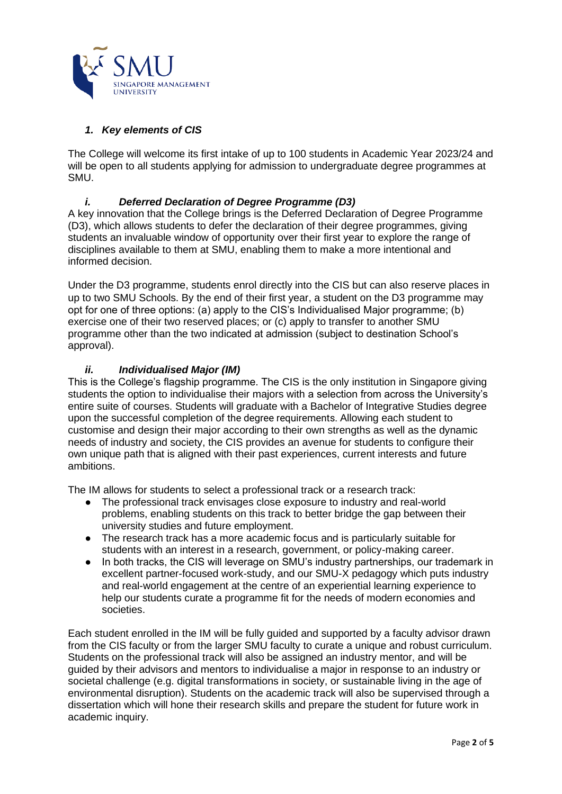

# *1. Key elements of CIS*

The College will welcome its first intake of up to 100 students in Academic Year 2023/24 and will be open to all students applying for admission to undergraduate degree programmes at SMU.

### *i. Deferred Declaration of Degree Programme (D3)*

A key innovation that the College brings is the Deferred Declaration of Degree Programme (D3), which allows students to defer the declaration of their degree programmes, giving students an invaluable window of opportunity over their first year to explore the range of disciplines available to them at SMU, enabling them to make a more intentional and informed decision.

Under the D3 programme, students enrol directly into the CIS but can also reserve places in up to two SMU Schools. By the end of their first year, a student on the D3 programme may opt for one of three options: (a) apply to the CIS's Individualised Major programme; (b) exercise one of their two reserved places; or (c) apply to transfer to another SMU programme other than the two indicated at admission (subject to destination School's approval).

### *ii. Individualised Major (IM)*

This is the College's flagship programme. The CIS is the only institution in Singapore giving students the option to individualise their majors with a selection from across the University's entire suite of courses. Students will graduate with a Bachelor of Integrative Studies degree upon the successful completion of the degree requirements. Allowing each student to customise and design their major according to their own strengths as well as the dynamic needs of industry and society, the CIS provides an avenue for students to configure their own unique path that is aligned with their past experiences, current interests and future ambitions.

The IM allows for students to select a professional track or a research track:

- The professional track envisages close exposure to industry and real-world problems, enabling students on this track to better bridge the gap between their university studies and future employment.
- The research track has a more academic focus and is particularly suitable for students with an interest in a research, government, or policy-making career.
- In both tracks, the CIS will leverage on SMU's industry partnerships, our trademark in excellent partner-focused work-study, and our SMU-X pedagogy which puts industry and real-world engagement at the centre of an experiential learning experience to help our students curate a programme fit for the needs of modern economies and societies.

Each student enrolled in the IM will be fully guided and supported by a faculty advisor drawn from the CIS faculty or from the larger SMU faculty to curate a unique and robust curriculum. Students on the professional track will also be assigned an industry mentor, and will be guided by their advisors and mentors to individualise a major in response to an industry or societal challenge (e.g. digital transformations in society, or sustainable living in the age of environmental disruption). Students on the academic track will also be supervised through a dissertation which will hone their research skills and prepare the student for future work in academic inquiry.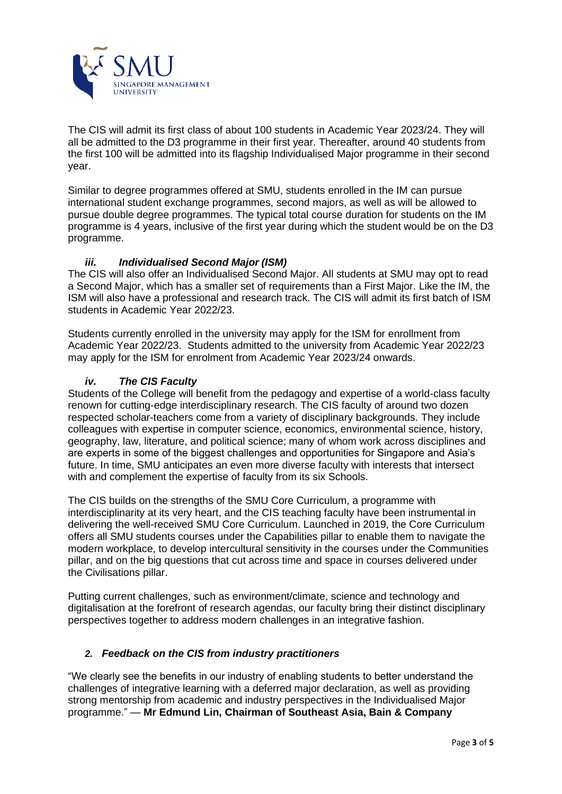

The CIS will admit its first class of about 100 students in Academic Year 2023/24. They will all be admitted to the D3 programme in their first year. Thereafter, around 40 students from the first 100 will be admitted into its flagship Individualised Major programme in their second year.

Similar to degree programmes offered at SMU, students enrolled in the IM can pursue international student exchange programmes, second majors, as well as will be allowed to pursue double degree programmes. The typical total course duration for students on the IM programme is 4 years, inclusive of the first year during which the student would be on the D3 programme.

#### *iii. Individualised Second Major (ISM)*

The CIS will also offer an Individualised Second Major. All students at SMU may opt to read a Second Major, which has a smaller set of requirements than a First Major. Like the IM, the ISM will also have a professional and research track. The CIS will admit its first batch of ISM students in Academic Year 2022/23.

Students currently enrolled in the university may apply for the ISM for enrollment from Academic Year 2022/23. Students admitted to the university from Academic Year 2022/23 may apply for the ISM for enrolment from Academic Year 2023/24 onwards.

#### *iv. The CIS Faculty*

Students of the College will benefit from the pedagogy and expertise of a world-class faculty renown for cutting-edge interdisciplinary research. The CIS faculty of around two dozen respected scholar-teachers come from a variety of disciplinary backgrounds. They include colleagues with expertise in computer science, economics, environmental science, history, geography, law, literature, and political science; many of whom work across disciplines and are experts in some of the biggest challenges and opportunities for Singapore and Asia's future. In time, SMU anticipates an even more diverse faculty with interests that intersect with and complement the expertise of faculty from its six Schools.

The CIS builds on the strengths of the SMU Core Curriculum, a programme with interdisciplinarity at its very heart, and the CIS teaching faculty have been instrumental in delivering the well-received SMU Core Curriculum. Launched in 2019, the Core Curriculum offers all SMU students courses under the Capabilities pillar to enable them to navigate the modern workplace, to develop intercultural sensitivity in the courses under the Communities pillar, and on the big questions that cut across time and space in courses delivered under the Civilisations pillar.

Putting current challenges, such as environment/climate, science and technology and digitalisation at the forefront of research agendas, our faculty bring their distinct disciplinary perspectives together to address modern challenges in an integrative fashion.

# *2. Feedback on the CIS from industry practitioners*

"We clearly see the benefits in our industry of enabling students to better understand the challenges of integrative learning with a deferred major declaration, as well as providing strong mentorship from academic and industry perspectives in the Individualised Major programme." — **Mr Edmund Lin, Chairman of Southeast Asia, Bain & Company**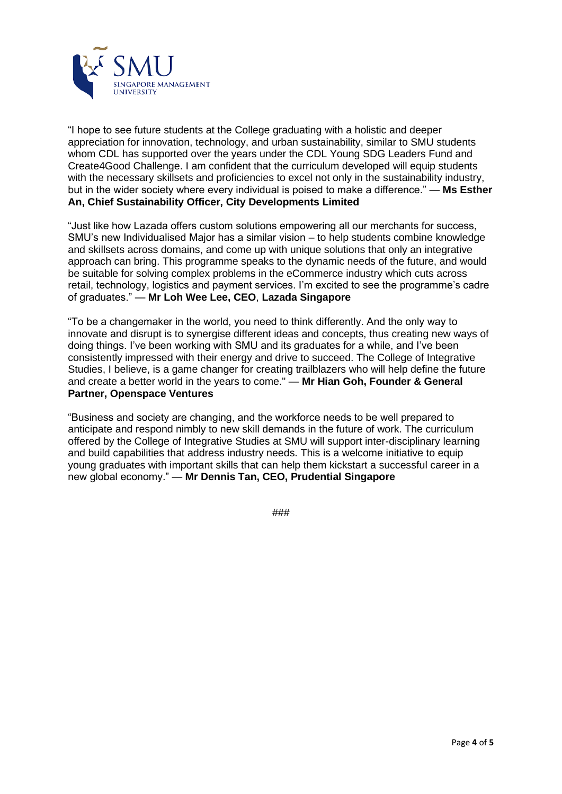

"I hope to see future students at the College graduating with a holistic and deeper appreciation for innovation, technology, and urban sustainability, similar to SMU students whom CDL has supported over the years under the CDL Young SDG Leaders Fund and Create4Good Challenge. I am confident that the curriculum developed will equip students with the necessary skillsets and proficiencies to excel not only in the sustainability industry, but in the wider society where every individual is poised to make a difference." — **Ms Esther An, Chief Sustainability Officer, City Developments Limited** 

"Just like how Lazada offers custom solutions empowering all our merchants for success, SMU's new Individualised Major has a similar vision – to help students combine knowledge and skillsets across domains, and come up with unique solutions that only an integrative approach can bring. This programme speaks to the dynamic needs of the future, and would be suitable for solving complex problems in the eCommerce industry which cuts across retail, technology, logistics and payment services. I'm excited to see the programme's cadre of graduates." — **Mr Loh Wee Lee, CEO**, **Lazada Singapore**

"To be a changemaker in the world, you need to think differently. And the only way to innovate and disrupt is to synergise different ideas and concepts, thus creating new ways of doing things. I've been working with SMU and its graduates for a while, and I've been consistently impressed with their energy and drive to succeed. The College of Integrative Studies, I believe, is a game changer for creating trailblazers who will help define the future and create a better world in the years to come." — **Mr Hian Goh, Founder & General Partner, Openspace Ventures**

"Business and society are changing, and the workforce needs to be well prepared to anticipate and respond nimbly to new skill demands in the future of work. The curriculum offered by the College of Integrative Studies at SMU will support inter-disciplinary learning and build capabilities that address industry needs. This is a welcome initiative to equip young graduates with important skills that can help them kickstart a successful career in a new global economy." — **Mr Dennis Tan, CEO, Prudential Singapore**

###